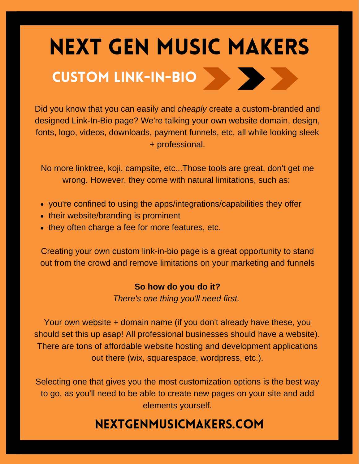# NEXT GEN MUSIC MAKERS CUSTOM LINK-IN-BIO

Did you know that you can easily and *cheaply* create a custom-branded and designed Link-In-Bio page? We're talking your own website domain, design, fonts, logo, videos, downloads, payment funnels, etc, all while looking sleek + professional.

No more linktree, koji, campsite, etc...Those tools are great, don't get me wrong. However, they come with natural limitations, such as:

- you're confined to using the apps/integrations/capabilities they offer
- their website/branding is prominent
- they often charge a fee for more features, etc.

Creating your own custom link-in-bio page is a great opportunity to stand out from the crowd and remove limitations on your marketing and funnels

#### **So how do you do it?**

*There's one thing you'll need first.*

Your own website + domain name (if you don't already have these, you should set this up asap! All professional businesses should have a website). There are tons of affordable website hosting and development applications out there (wix, squarespace, wordpress, etc.).

Selecting one that gives you the most customization options is the best way to go, as you'll need to be able to create new pages on your site and add elements yourself.

## nextgenmusicmakers.com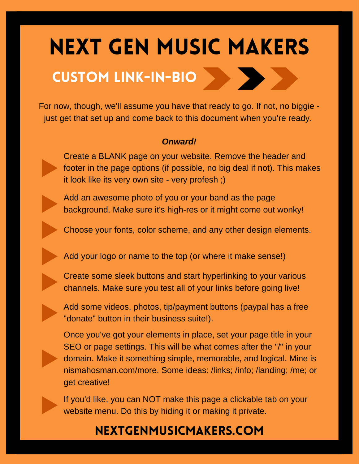## NEXT GEN MUSIC MAKERS

## CUSTOM LINK-IN-BIO

For now, though, we'll assume you have that ready to go. If not, no biggie just get that set up and come back to this document when you're ready.

#### *Onward!*

Create a BLANK page on your website. Remove the header and footer in the page options (if possible, no big deal if not). This makes it look like its very own site - very profesh ;)

Add an awesome photo of you or your band as the page background. Make sure it's high-res or it might come out wonky!

Choose your fonts, color scheme, and any other design elements.

Add your logo or name to the top (or where it make sense!)

Create some sleek buttons and start hyperlinking to your various channels. Make sure you test all of your links before going live!

Add some videos, photos, tip/payment buttons (paypal has a free "donate" button in their business suite!).

Once you've got your elements in place, set your page title in your SEO or page settings. This will be what comes after the "/" in your domain. Make it something simple, memorable, and logical. Mine is nismahosman.com/more. Some ideas: /links; /info; /landing; /me; or get creative!

If you'd like, you can NOT make this page a clickable tab on your website menu. Do this by hiding it or making it private.

## nextgenmusicmakers.com